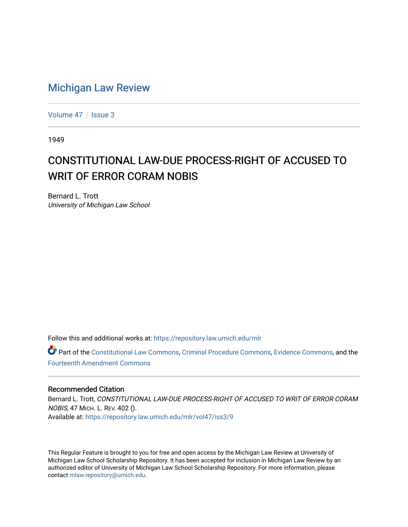## [Michigan Law Review](https://repository.law.umich.edu/mlr)

[Volume 47](https://repository.law.umich.edu/mlr/vol47) | [Issue 3](https://repository.law.umich.edu/mlr/vol47/iss3)

1949

## CONSTITUTIONAL LAW-DUE PROCESS-RIGHT OF ACCUSED TO WRIT OF ERROR CORAM NOBIS

Bernard L. Trott University of Michigan Law School

Follow this and additional works at: [https://repository.law.umich.edu/mlr](https://repository.law.umich.edu/mlr?utm_source=repository.law.umich.edu%2Fmlr%2Fvol47%2Fiss3%2F9&utm_medium=PDF&utm_campaign=PDFCoverPages) 

Part of the [Constitutional Law Commons,](http://network.bepress.com/hgg/discipline/589?utm_source=repository.law.umich.edu%2Fmlr%2Fvol47%2Fiss3%2F9&utm_medium=PDF&utm_campaign=PDFCoverPages) [Criminal Procedure Commons,](http://network.bepress.com/hgg/discipline/1073?utm_source=repository.law.umich.edu%2Fmlr%2Fvol47%2Fiss3%2F9&utm_medium=PDF&utm_campaign=PDFCoverPages) [Evidence Commons,](http://network.bepress.com/hgg/discipline/601?utm_source=repository.law.umich.edu%2Fmlr%2Fvol47%2Fiss3%2F9&utm_medium=PDF&utm_campaign=PDFCoverPages) and the [Fourteenth Amendment Commons](http://network.bepress.com/hgg/discipline/1116?utm_source=repository.law.umich.edu%2Fmlr%2Fvol47%2Fiss3%2F9&utm_medium=PDF&utm_campaign=PDFCoverPages)

## Recommended Citation

Bernard L. Trott, CONSTITUTIONAL LAW-DUE PROCESS-RIGHT OF ACCUSED TO WRIT OF ERROR CORAM NOBIS, 47 MICH. L. REV. 402 (). Available at: [https://repository.law.umich.edu/mlr/vol47/iss3/9](https://repository.law.umich.edu/mlr/vol47/iss3/9?utm_source=repository.law.umich.edu%2Fmlr%2Fvol47%2Fiss3%2F9&utm_medium=PDF&utm_campaign=PDFCoverPages)

This Regular Feature is brought to you for free and open access by the Michigan Law Review at University of Michigan Law School Scholarship Repository. It has been accepted for inclusion in Michigan Law Review by an authorized editor of University of Michigan Law School Scholarship Repository. For more information, please contact [mlaw.repository@umich.edu](mailto:mlaw.repository@umich.edu).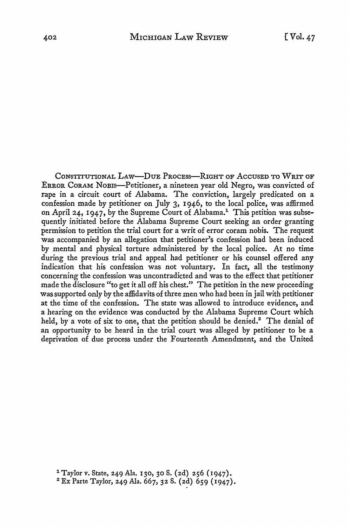CoNsTITUTIONAL LAw-DuE PRocEss-RIGHT OF AccusED TO WRIT OF ERROR CoRAM NoBis-Petitioner, a nineteen year old Negro, was convicted of rape in a circuit court of Alabama. The conviction, largely predicated on a confession made by petitioner on July 3, 1946, to the local police, was affirmed on April 24, 1947, by the Supreme Court of Alabama.<sup>1</sup> This petition was subsequently initiated before the Alabama Supreme Court seeking an order granting permission to petition the trial court for a writ of error coram nobis. The request was accompanied by an allegation that petitioner's confession had been induced by mental and physical torture administered by the local police. At no time during the previous trial and appeal had petitioner or his counsel offered any indication that his confession was not voluntary. In fact, all the testimony concerning the confession was uncontradicted and was to the effect that petitioner made the disclosure "to get it all off his chest." The petition in the new proceeding was supported only by the affidavits of three men who had been in jail with petitioner at the time of the confession. The state was allowed to introduce evidence, and a hearing on the evidence was conducted by the Alabama Supreme Court which held, by a vote of six to one, that the petition should be denied.<sup>2</sup> The denial of an opportunity to be heard in the trial court was alleged by petitioner to be a deprivation of due process under the Fourteenth Amendment, and the United

<sup>&</sup>lt;sup>1</sup> Taylor v. State, 249 Ala. 130, 30 S. (2d) 256 (1947).

<sup>2</sup> Ex Parte Taylor, 249 Ala. 667, 32 S. (2d) 659 (1947).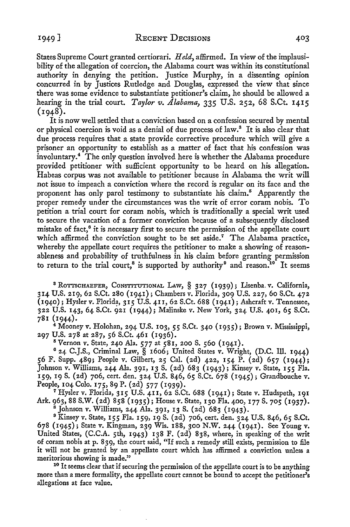States Supreme Court granted certiorari. *Held,* affirmed. In view of the implausibility of the allegation of coercion, the Alabama court was within its constitutional authority in denying the petition. Justice Murphy, in a dissenting opinion concurred in by Justices Rutledge and Douglas, expressed the view that since there was some evidence to substantiate petitioner's claim, he should be allowed a hearing in the trial court. *Taylor v. Alabama,* 335 U.S. 252, 68 S.Ct. 1415  $(1948).$ 

It is now well settled that a conviction based on a confession secured by mental or physical coercion is void as a denial of due process of law.<sup>8</sup> It is also clear that due process requires that a state provide corrective procedure which will give a prisoner an opportunity to establish as a matter of fact that his confession was  $involutary.<sup>4</sup>$  The only question involved here is whether the Alabama procedure provided petitioner with sufficient opportunity to be heard on his allegation. Habeas corpus was not available to petitioner because in Alabama the writ will not issue to impeach a conviction where the record is regular on its face and the proponent has only parol testimony to substantiate his claim.<sup>5</sup> Apparently the proper remedy under the circumstances was the writ of error coram nobis. To petition a trial court for coram nobis, which is traditionally a special writ used to secure the vacation of a former conviction because of a subsequently disclosed mistake of fact,<sup>6</sup> it is necessary first to secure the permission of the appellate court which affirmed the conviction sought to be set aside.<sup>7</sup> The Alabama practice, whereby the appellate court requires the petitioner to make a showing of reasonableness and probability of truthfulness in his claim before granting permission to return to the trial court,<sup>8</sup> is supported by authority<sup>9</sup> and reason.<sup>10</sup> It seems

<sup>8</sup> ROTTSCHAEFER, CONSTITUTIONAL LAW, § 327 (1939); Lisenba. v. California, 314 U.S. 219, 62 S.Ct. 280 (1941); Chambers v. Florida, 309 U.S. 227, 60 S.Ct. 472  $(1940)$ ; Hysler v. Florida, 315 U.S. 411, 62 S.Ct. 688 (1941); Ashcraft v. Tennessee, 322 U.S. 143, 64 S.Ct. 921 (1944); Malinske v. New York, 324 U.S. 401, 65 S.Ct. 781 (1944).

<sup>4</sup>Mooney v. Holohan, 294 U.S. 103, *55* S.Ct. 340 (1935); Brown v. Mississippi, 297 U.S. 278 at 287, 56 S.Ct. 461 (1936).

<sup>5</sup> Vernon v. State, 240 Ala. 577 at 581, 200 S. 560 (1941).

<sup>6</sup>24 C.J.S., Criminal Law, § 1606; United States v. Wright, (D.C. Ill. 1944) 56 F. Supp. 489; People v. Gilbert, 25 Cal. (2d) 422, 154 P. (2d) 657 (1944); Johnson v. Williams, 244 Ala. 391, 13 S. (2d) 683 (1943); Kinsey v. State, 155 Fla. 159, 19 S. (2d) 706, cert. den. 324 U.S. 846, 65 S.Ct. 678 (1945); Grandbouche v.<br>People, 104 Colo. 175, 89 P. (2d) 577 (1939).

<sup>7</sup> Hysler v. Florida, 315 U.S. 411, 62 S.Ct. 688 (1941); State v. Hudspeth, 191 Ark. 963, 88 S.W. (2d) 858 (1935); House v. State, 130 Fla. 400, 177 S. 705 (1937).<br>8 Johnson v. Williams, 244 Ala. 391, 13 S. (2d) 683 (1943).<br>9 Kinsey v. State, 155 Fla. 159, 19 S. (2d) 706, cert. den. 324 U.S. 846, 65 S

678 (1945); State v. Kingman, 239 Wis. 188, 300 N.W. 244 (1941). See Young v. United States, (C.C.A. 5th, 1943) 138 F. (2d) 838, where, in speaking of the writ of coram nobis at p. 839, the court said, "If such a remedy still exists, permission to file it will not be granted by an appellate court which has affirmed a conviction unless a meritorious showing is made."

<sup>10</sup> It seems clear that if securing the permission of the appellate court is to be anything more than a mere formality, the appellate court cannot be bound to accept the petitioner's allegations at face value.